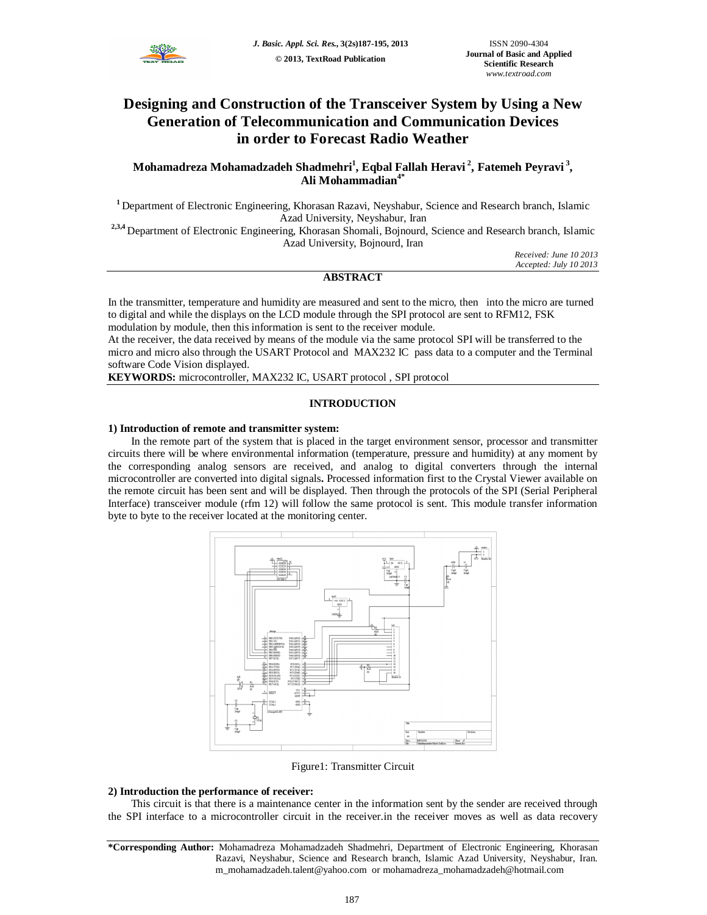

# **Designing and Construction of the Transceiver System by Using a New Generation of Telecommunication and Communication Devices in order to Forecast Radio Weather**

# **Mohamadreza Mohamadzadeh Shadmehri<sup>1</sup> , Eqbal Fallah Heravi <sup>2</sup> , Fatemeh Peyravi <sup>3</sup> , Ali Mohammadian4\***

**<sup>1</sup>** Department of Electronic Engineering, Khorasan Razavi, Neyshabur, Science and Research branch, Islamic Azad University, Neyshabur, Iran

**2,3,4** Department of Electronic Engineering, Khorasan Shomali, Bojnourd, Science and Research branch, Islamic Azad University, Bojnourd, Iran

*Received: June 10 2013 Accepted: July 10 2013*

# **ABSTRACT**

In the transmitter, temperature and humidity are measured and sent to the micro, then into the micro are turned to digital and while the displays on the LCD module through the SPI protocol are sent to RFM12, FSK modulation by module, then this information is sent to the receiver module.

At the receiver, the data received by means of the module via the same protocol SPI will be transferred to the micro and micro also through the USART Protocol and MAX232 IC pass data to a computer and the Terminal software Code Vision displayed.

**KEYWORDS:** microcontroller, MAX232 IC, USART protocol , SPI protocol

## **INTRODUCTION**

#### **1) Introduction of remote and transmitter system:**

In the remote part of the system that is placed in the target environment sensor, processor and transmitter circuits there will be where environmental information (temperature, pressure and humidity) at any moment by the corresponding analog sensors are received, and analog to digital converters through the internal microcontroller are converted into digital signals**.** Processed information first to the Crystal Viewer available on the remote circuit has been sent and will be displayed. Then through the protocols of the SPI (Serial Peripheral Interface) transceiver module (rfm 12) will follow the same protocol is sent. This module transfer information byte to byte to the receiver located at the monitoring center.



Figure1: Transmitter Circuit

## **2) Introduction the performance of receiver:**

This circuit is that there is a maintenance center in the information sent by the sender are received through the SPI interface to a microcontroller circuit in the receiver.in the receiver moves as well as data recovery

**<sup>\*</sup>Corresponding Author:** Mohamadreza Mohamadzadeh Shadmehri, Department of Electronic Engineering, Khorasan Razavi, Neyshabur, Science and Research branch, Islamic Azad University, Neyshabur, Iran. m\_mohamadzadeh.talent@yahoo.com or mohamadreza\_mohamadzadeh@hotmail.com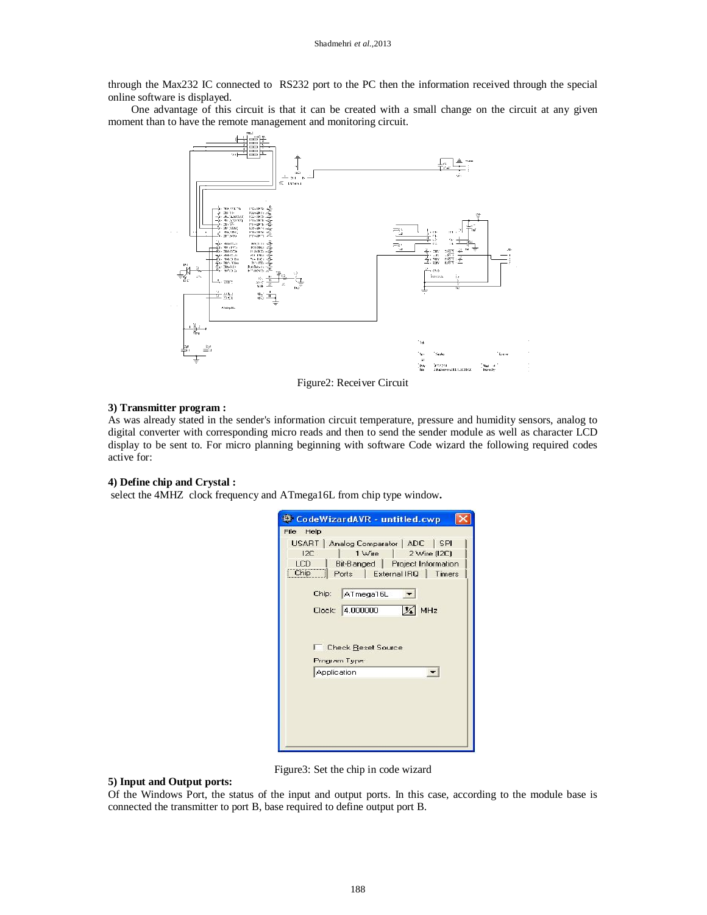through the Max232 IC connected to RS232 port to the PC then the information received through the special online software is displayed.

One advantage of this circuit is that it can be created with a small change on the circuit at any given moment than to have the remote management and monitoring circuit.



Figure2: Receiver Circuit

#### **3) Transmitter program :**

As was already stated in the sender's information circuit temperature, pressure and humidity sensors, analog to digital converter with corresponding micro reads and then to send the sender module as well as character LCD display to be sent to. For micro planning beginning with software Code wizard the following required codes active for:

#### **4) Define chip and Crystal :**

select the 4MHZ clock frequency and ATmega16L from chip type window**.**

| CodeWizardAVR - untitled.cwp                                                                                                                                                                                                 |
|------------------------------------------------------------------------------------------------------------------------------------------------------------------------------------------------------------------------------|
| File Help                                                                                                                                                                                                                    |
| USART   Analog Comparator   ADC   SPI<br>12C<br>1 Wire<br>2 Wire (12C)<br>LCD.<br>Bit-Banged   Project Information<br>Chip<br>Ports<br>External IRQ<br>Timers<br>ATmega16L<br>Chip:<br>Clock: 4.000000<br>$\frac{1}{24}$ MHz |
| <b>Check Reset Source</b><br>Program Type:                                                                                                                                                                                   |
| Application                                                                                                                                                                                                                  |
|                                                                                                                                                                                                                              |

Figure3: Set the chip in code wizard

## **5) Input and Output ports:**

Of the Windows Port, the status of the input and output ports. In this case, according to the module base is connected the transmitter to port B, base required to define output port B.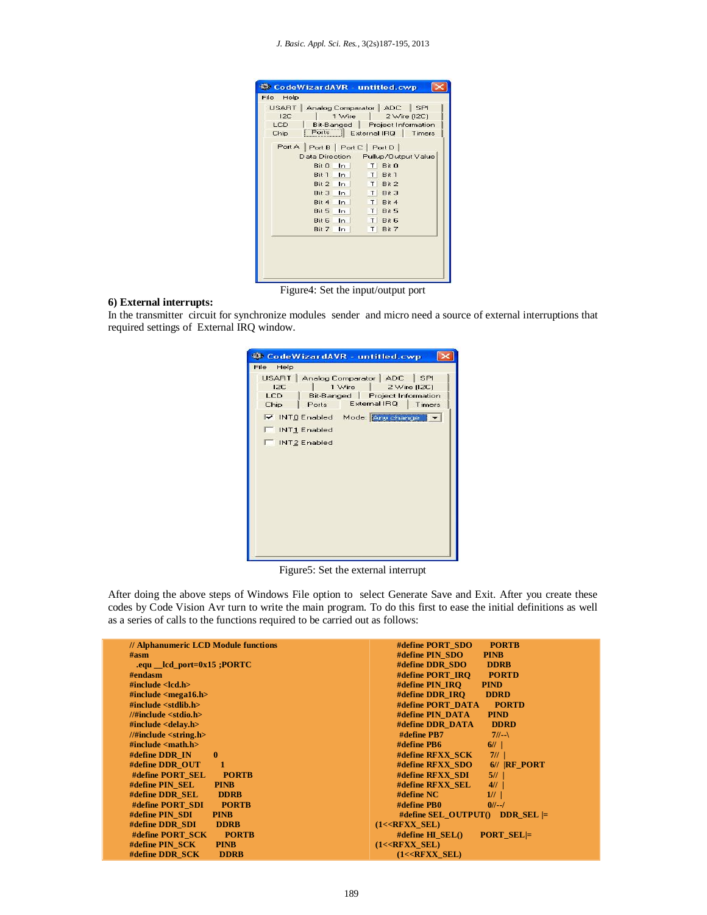|      | USART   Analog Comparator   ADC   | I SPI                            |
|------|-----------------------------------|----------------------------------|
| 12C  | 1 Wire                            | 2 Wire (12C)                     |
| LCD. |                                   | Bit-Banged   Project Information |
| Chip | Ports                             | External IRQ   Timers            |
|      | Port A   Port B   Port C   Port D |                                  |
|      | Data Direction                    | Pullup/Output Value              |
|      | Bit 0<br>ln                       | Bit 0<br>ΤI                      |
|      | Rit 1<br>ln                       | T <sub>1</sub><br>Bit 1          |
|      | Bit 2<br>In.                      | Bit 2<br>ΤI                      |
|      | Bit 3<br>ln                       | Bit 3<br>T.                      |
|      | Bit 4<br>ln                       | T<br>Bit 4                       |
|      | <b>Bit 5</b><br>In.               | Bit 5<br>T I                     |
|      | Bit 6<br>In.                      | T <sub>1</sub><br>Bit 6          |
|      | Bit 7<br>In                       | T I<br>Bit 7                     |
|      |                                   |                                  |

#### **6) External interrupts:**

In the transmitter circuit for synchronize modules sender and micro need a source of external interruptions that required settings of External IRQ window.

Figure5: Set the external interrupt

After doing the above steps of Windows File option to select Generate Save and Exit. After you create these codes by Code Vision Avr turn to write the main program. To do this first to ease the initial definitions as well as a series of calls to the functions required to be carried out as follows:

| // Alphanumeric LCD Module functions                                                                                                                                                                                                                                      | <b>PORTB</b><br>#define PORT SDO                 |
|---------------------------------------------------------------------------------------------------------------------------------------------------------------------------------------------------------------------------------------------------------------------------|--------------------------------------------------|
| $\#asm$                                                                                                                                                                                                                                                                   | #define PIN SDO<br><b>PINB</b>                   |
| .equ $\_\$ lcd $\_\text{port}=0x15$ ; PORTC                                                                                                                                                                                                                               | #define DDR SDO<br><b>DDRB</b>                   |
| # <sub>endasm</sub>                                                                                                                                                                                                                                                       | #define PORT IRO<br><b>PORTD</b>                 |
| #include $\langle$ clcd.h $\rangle$                                                                                                                                                                                                                                       | #define PIN IRO<br><b>PIND</b>                   |
| #include $\le$ mega16.h>                                                                                                                                                                                                                                                  | #define DDR IRO<br><b>DDRD</b>                   |
| $\#$ include <stdlib.h></stdlib.h>                                                                                                                                                                                                                                        | #define PORT DATA<br><b>PORTD</b>                |
| //#include $\lt$ stdio.h>                                                                                                                                                                                                                                                 | #define PIN DATA<br><b>PIND</b>                  |
| $\#$ include <delay.h></delay.h>                                                                                                                                                                                                                                          | <b>DDRD</b><br>#define DDR DATA                  |
| $//\#include$ $\leq$ $\leq$ $\leq$ $\leq$ $\leq$ $\leq$ $\leq$ $\leq$ $\leq$ $\leq$ $\leq$ $\leq$ $\leq$ $\leq$ $\leq$ $\leq$ $\leq$ $\leq$ $\leq$ $\leq$ $\leq$ $\leq$ $\leq$ $\leq$ $\leq$ $\leq$ $\leq$ $\leq$ $\leq$ $\leq$ $\leq$ $\leq$ $\leq$ $\leq$ $\leq$ $\leq$ | #define PB7<br>$7/ -$                            |
| #include $\langle \text{math.h}\rangle$                                                                                                                                                                                                                                   | $\#$ define PB6<br>6/1                           |
| $\mathbf{0}$<br>$\#$ define DDR IN                                                                                                                                                                                                                                        | #define RFXX SCK<br>7/1                          |
| #define DDR OUT<br>$\mathbf{1}$                                                                                                                                                                                                                                           | #define RFXX SDO<br>$6$ // RF PORT               |
| #define PORT SEL<br><b>PORTB</b>                                                                                                                                                                                                                                          | #define RFXX SDI<br>5/1                          |
| #define PIN SEL<br><b>PINB</b>                                                                                                                                                                                                                                            | #define RFXX SEL<br>$4$ //                       |
| #define DDR SEL<br><b>DDRB</b>                                                                                                                                                                                                                                            | #define NC<br>1/1                                |
| #define PORT SDI<br><b>PORTB</b>                                                                                                                                                                                                                                          | #define PB0<br>$0/1$ -- $/$                      |
| #define PIN SDI<br><b>PINB</b>                                                                                                                                                                                                                                            | #define SEL OUTPUT() DDR SEL $\models$           |
| #define DDR SDI<br><b>DDRB</b>                                                                                                                                                                                                                                            | $(1<$ <b>RFXX SEL</b> )                          |
| #define PORT_SCK<br><b>PORTB</b>                                                                                                                                                                                                                                          | #define $\bf{H}$ SEL $()$<br><b>PORT SEL</b> $=$ |
| #define PIN SCK<br><b>PINB</b>                                                                                                                                                                                                                                            | $(1<$ <b>RFXX SEL</b> $)$                        |
| #define DDR SCK<br><b>DDRB</b>                                                                                                                                                                                                                                            | $(1<$ <b>RFXX SEL</b> )                          |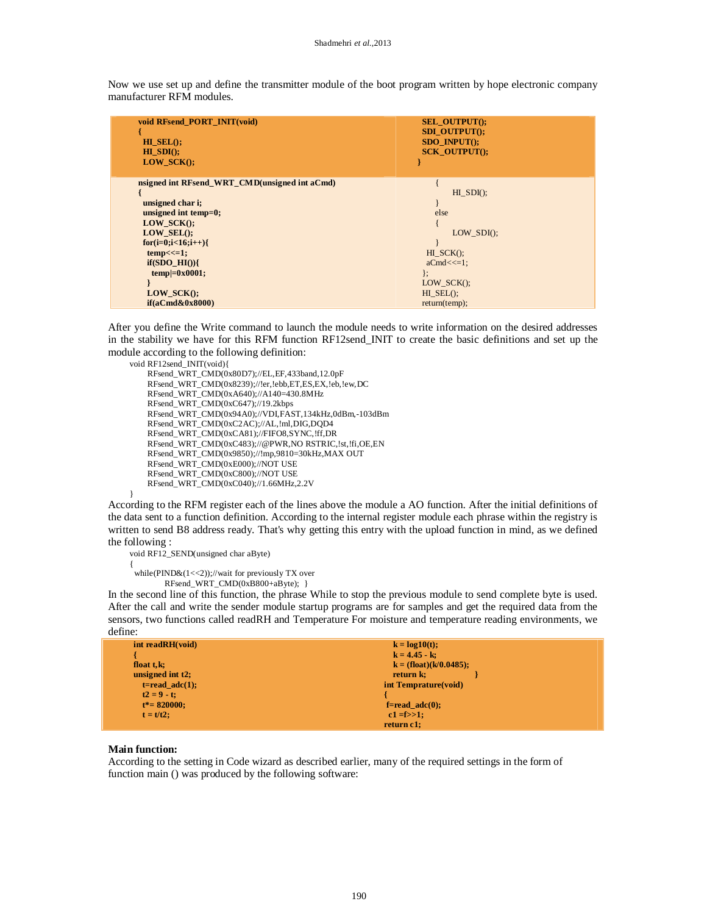Now we use set up and define the transmitter module of the boot program written by hope electronic company manufacturer RFM modules.

| void RFsend_PORT_INIT(void)<br>$H\mathbf{I}$ SEL $()$ ;<br>$H = SDI()$ ;<br>$LOW\_SCK()$ ; | <b>SEL OUTPUT();</b><br>SDI OUTPUT();<br>SDO INPUT();<br><b>SCK OUTPUT();</b> |
|--------------------------------------------------------------------------------------------|-------------------------------------------------------------------------------|
| nsigned int RFsend_WRT_CMD(unsigned int aCmd)                                              |                                                                               |
|                                                                                            | $HI$ SDI $()$ ;                                                               |
| unsigned char i;                                                                           |                                                                               |
| unsigned int temp=0;                                                                       | else                                                                          |
| $LOW_SCK()$ ;                                                                              |                                                                               |
| LOW $SEL()$ :                                                                              | LOW $SDI()$ ;                                                                 |
| $for(i=0;i<16;i++)$                                                                        |                                                                               |
| $temp<<=1$ ;                                                                               | $HI$ $SCK()$ ;                                                                |
| if(SDO HI()                                                                                | $aCmd<<=1$ ;                                                                  |
| $temp=0x0001;$                                                                             | };                                                                            |
|                                                                                            | $LOW_SCK()$ ;                                                                 |
| $LOW_SCK()$ ;                                                                              | $HI$ SEL $()$ ;                                                               |
| $if(aCmd\&0x8000)$                                                                         | return (temp);                                                                |

After you define the Write command to launch the module needs to write information on the desired addresses in the stability we have for this RFM function RF12send\_INIT to create the basic definitions and set up the module according to the following definition:

```
void RF12send_INIT(void){
```

```
 RFsend_WRT_CMD(0x80D7);//EL,EF,433band,12.0pF
 RFsend_WRT_CMD(0x8239);//!er,!ebb,ET,ES,EX,!eb,!ew,DC
 RFsend_WRT_CMD(0xA640);//A140=430.8MHz
 RFsend_WRT_CMD(0xC647);//19.2kbps
 RFsend_WRT_CMD(0x94A0);//VDI,FAST,134kHz,0dBm,-103dBm
 RFsend_WRT_CMD(0xC2AC);//AL,!ml,DIG,DQD4
 RFsend_WRT_CMD(0xCA81);//FIFO8,SYNC,!ff,DR
 RFsend_WRT_CMD(0xC483);//@PWR,NO RSTRIC,!st,!fi,OE,EN
 RFsend_WRT_CMD(0x9850);//!mp,9810=30kHz,MAX OUT
 RFsend_WRT_CMD(0xE000);//NOT USE
 RFsend_WRT_CMD(0xC800);//NOT USE
 RFsend_WRT_CMD(0xC040);//1.66MHz,2.2V
```
According to the RFM register each of the lines above the module a AO function. After the initial definitions of the data sent to a function definition. According to the internal register module each phrase within the registry is written to send B8 address ready. That's why getting this entry with the upload function in mind, as we defined the following :

```
void RF12_SEND(unsigned char aByte)
{ 
 while(\text{PIND\&(1<<2)});//wait for previously TX over
```
RFsend\_WRT\_CMD(0xB800+aByte); }

In the second line of this function, the phrase While to stop the previous module to send complete byte is used. After the call and write the sender module startup programs are for samples and get the required data from the sensors, two functions called readRH and Temperature For moisture and temperature reading environments, we define:

| int readRH(void)    | $k = log10(t);$           |
|---------------------|---------------------------|
|                     | $k = 4.45 - k$ ;          |
| float $t, k$ ;      | $k = (float)(k/0.0485);$  |
| unsigned int t2;    | return k;                 |
| $t = read\_adc(1);$ | int Temprature(void)      |
| $t2 = 9 - t$ ;      |                           |
| $t^* = 820000$ ;    | $f = read \text{adc}(0);$ |
| $t = t/t2$ :        | $c1 = f>>1$ ;             |
|                     | return c1;                |

#### **Main function:**

}

According to the setting in Code wizard as described earlier, many of the required settings in the form of function main () was produced by the following software: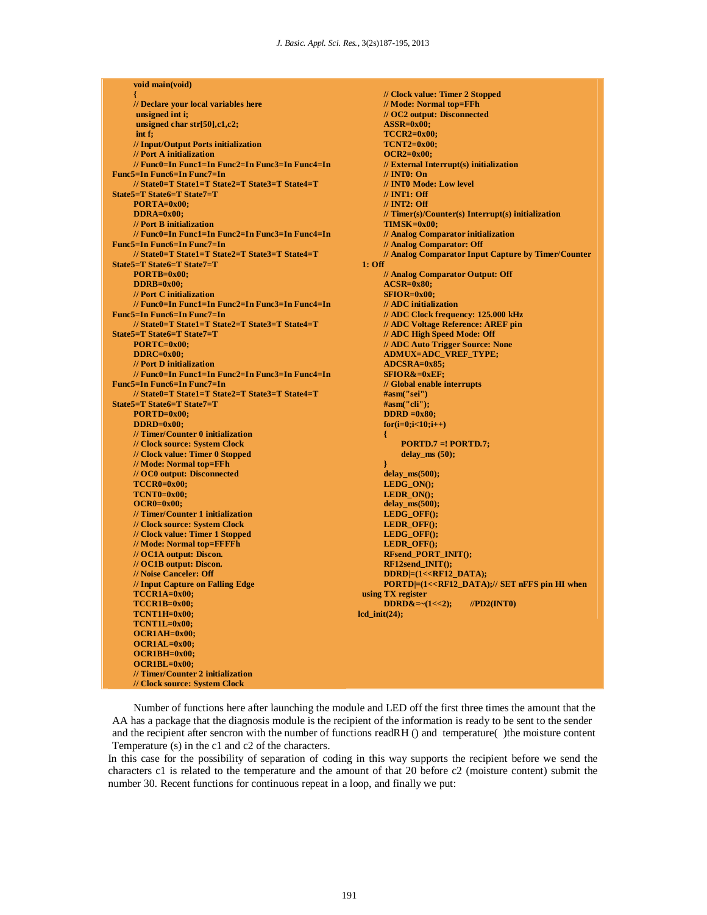| void main(void)                                   |                                                |
|---------------------------------------------------|------------------------------------------------|
| ł                                                 | // Clock va                                    |
| // Declare your local variables here              | $//$ Mode: $N$                                 |
| unsigned int i;                                   | $\frac{\textit{10} \, \text{O}}{\text{O}}$ out |
| unsigned char str $[50], c1, c2$ ;                | $ASSR=0x0$                                     |
| int f;                                            | $TCCR2=0$                                      |
| // Input/Output Ports initialization              | $TCNT2=0$                                      |
| // Port A initialization                          | $OCR2=0x$                                      |
| // Func0=In Func1=In Func2=In Func3=In Func4=In   | // External                                    |
| <b>Func5=In Func6=In Func7=In</b>                 | $\textcolor{red}{\textbf{ // INT0: O}}$        |
| // State0=T State1=T State2=T State3=T State4=T   | $\text{/}\text{/}$ INTO Mo                     |
| State5=T State6=T State7=T                        | $\textcolor{red}{\textbf{ // INT1: O}}$        |
| $PORTA=0x00;$                                     | $\text{/}\text{/}$ INT2: O                     |
| $DDRA=0x00;$                                      | $//$ Timer(s)                                  |
| // Port B initialization                          | $TIMSK=0$                                      |
| // Func0=In Func1=In Func2=In Func3=In Func4=In   | $\theta$ Analog $\theta$                       |
| <b>Func5=In Func6=In Func7=In</b>                 | // Analog 0                                    |
| // State0=T State1=T State2=T State3=T State4=T   | // Analog 0                                    |
| State5=T State6=T State7=T                        | $1:$ Off                                       |
| $PORTB=0x00;$                                     | // Analog 0                                    |
| $DDRB=0x00$ ;                                     | $ACSR=0x$                                      |
| // Port C initialization                          | $SFIOR=0x$                                     |
| // Func0=In Func1=In Func2=In Func3=In Func4=In   | // ADC init                                    |
| <b>Func5=In Func6=In Func7=In</b>                 | $\parallel$ ADC Clo                            |
| // State0=T State1=T State2=T State3=T State4=T   | $\mathcal{U}$ ADC Vo                           |
| State5=T State6=T State7=T                        | // ADC Hig                                     |
| $PORTC=0x00;$                                     | // ADC Au                                      |
| $DDRC=0x00;$                                      | $ADMUX=$                                       |
| // Port D initialization                          | <b>ADCSRA=</b>                                 |
| // Func0=In Func1=In Func2=In Func3=In Func4=In   | $SFIOR&=$                                      |
| <b>Func5=In Func6=In Func7=In</b>                 | // Global e                                    |
| // State0=T State1=T State2=T State3=T State4=T   | #asm("sei"                                     |
| State5=T State6=T State7=T                        | #asm("cli"                                     |
| $PORTD=0x00;$                                     | $DDRD = 0x$                                    |
| $DDRD=0x00$ ;                                     | $for (i=0; i<1$                                |
| // Timer/Counter 0 initialization                 |                                                |
| // Clock source: System Clock                     | Ł<br><b>PORT</b>                               |
| // Clock value: Timer 0 Stopped                   | delay                                          |
| // Mode: Normal top=FFh                           |                                                |
| // OC0 output: Disconnected                       | ł                                              |
| $TCCR0=0x00;$                                     | delay_ms(<br><b>LEDG_ON</b>                    |
|                                                   |                                                |
| $TCNT0=0x00$ ;                                    | <b>LEDR ON</b>                                 |
| $OCR0=0x00;$<br>// Timer/Counter 1 initialization | delay_ms(                                      |
|                                                   | <b>LEDG_OF</b>                                 |
| // Clock source: System Clock                     | <b>LEDROF</b>                                  |
| // Clock value: Timer 1 Stopped                   | <b>LEDG_OF</b>                                 |
| // Mode: Normal top=FFFFh                         | <b>LEDROF</b>                                  |
| // OC1A output: Discon.                           | <b>RFsend_P</b>                                |
| // OC1B output: Discon.                           | RF12send                                       |
| // Noise Canceler: Off                            | $DDRD = (1$                                    |
| // Input Capture on Falling Edge                  | $\mathbf{PORTD} \models$                       |
| $TCCR1A=0x00;$                                    | using TX registe                               |
| TCCR1B=0x00;                                      | $DDRD&=$                                       |
| $TCNT1H=0x00$ :                                   | $lcd\_init(24);$                               |
| $TCNT1L=0x00$ :                                   |                                                |
| $OCR1AH=0x00;$                                    |                                                |
| $OCR1AL=0x00;$                                    |                                                |
| $OCR1BH=0x00;$                                    |                                                |
| $OCR1BL = 0x00;$                                  |                                                |
| // Timer/Counter 2 initialization                 |                                                |
| // Clock source: System Clock                     |                                                |

**lue: Timer 2 Stopped // Mode: Normal top=FFh** put: Disconnected  $\mathbf{0:}$ **TCCR2=0x00; x00: OC Interrupt(s) initialization // INT0: On bde:** Low level **// INT1: Off // INT2: Off // Timer(s)/Counter(s) Interrupt(s) initialization**  $\mathbf{r}$ 00; **// Analog Comparator initialization** *Comparator: Off Comparator Input Capture by Timer/Counter Comparator Output: Off* **ACS SFIOR=0x00; // ADC initialization // ADC Clock frequency: 125.000 kHz // ADC Voltage Reference: AREF pin // ADC High Speed Mode: Off** *to Trigger Source: None*  $ADC_VREF_TYPE;$  $-0x85;$  $0xEF;$ *<u>nable interrupts</u>* **#asm("sei") #asm("cli");**  $\overline{80}$ ;  $f(0; i++)$  **PORTD.7 =! PORTD.7;**  $ms (50);$ **soo**):  $\overline{A}$  $\overline{A}$ **500);**  $\textbf{FQ}$  $E()$ ;  $F()$ ; **FO:**  $\overline{\text{ORT\_INT}}()$ ;  $INT()$ ; <<RF12\_DATA); **PORTD|=(1<<RF12\_DATA);// SET nFFS pin HI when using TX register**   $\mathcal{L}(1\ll2);$  //PD2(INT0)

Number of functions here after launching the module and LED off the first three times the amount that the AA has a package that the diagnosis module is the recipient of the information is ready to be sent to the sender and the recipient after sencron with the number of functions readRH () and temperature( )the moisture content Temperature (s) in the c1 and c2 of the characters.

In this case for the possibility of separation of coding in this way supports the recipient before we send the characters c1 is related to the temperature and the amount of that 20 before c2 (moisture content) submit the number 30. Recent functions for continuous repeat in a loop, and finally we put: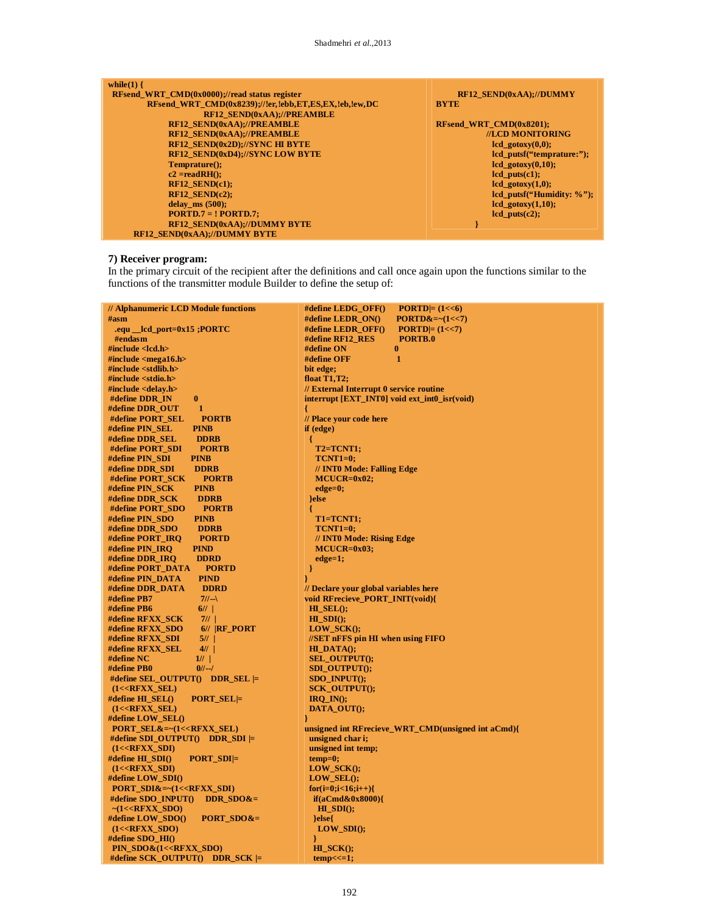| while $(1)$ {                                         |                               |
|-------------------------------------------------------|-------------------------------|
| RFsend WRT $CMD(0x0000)/\prime$ read status register  | RF12 SEND(0xAA);//DUMMY       |
| RFsend WRT CMD(0x8239);//!er.!ebb.ET.ES.EX.!eb.!ew.DC | <b>BYTE</b>                   |
| <b>RF12 SEND(0xAA);//PREAMBLE</b>                     |                               |
| RF12_SEND(0xAA);//PREAMBLE                            | RFsend WRT $CMD(0x8201);$     |
| RF12 SEND(0xAA);//PREAMBLE                            | //LCD MONITORING              |
| RF12 SEND(0x2D);//SYNC HI BYTE                        | $led$ gotoxy $(0,0)$ ;        |
| RF12 SEND(0xD4);//SYNC LOW BYTE                       | lcd putsf("temprature:");     |
| $Temperature():$                                      | $1cd$ gotoxy $(0,10)$ ;       |
| $c2 = readRH$ :                                       | $led$ puts $(cl)$ ;           |
| $RF12$ SEND(c1);                                      | $led$ gotoxy $(1,0)$ ;        |
| $RF12$ SEND(c2);                                      | lcd putsf("Humidity: $\%$ "); |
| delay $ms(500)$ ;                                     | $lcd\_gotoxy(1,10);$          |
| $PORTD.7 = ! PORTD.7;$                                | $led$ puts $(c2)$ ;           |
| RF12 SEND(0xAA);//DUMMY BYTE                          |                               |
| <b>RF12 SEND(0xAA);//DUMMY BYTE</b>                   |                               |

#### **7) Receiver program:**

In the primary circuit of the recipient after the definitions and call once again upon the functions similar to the functions of the transmitter module Builder to define the setup of:

| // Alphanumeric LCD Module functions                                       | #define LEDG_OFF()<br>$\text{PORTD} = (1 < 6)$     |
|----------------------------------------------------------------------------|----------------------------------------------------|
| #asm                                                                       | #define LEDR_ON()<br>$PORTD&=~(1~lt;~7)$           |
| .equ __lcd_port=0x15 ;PORTC                                                | #define LEDR_OFF()<br>$\text{PORTD} = (1 << 7)$    |
| #endasm                                                                    | PORTB.0<br>#define RF12_RES                        |
| $\#$ include <lcd.h></lcd.h>                                               | #define ON<br>$\bf{0}$                             |
| #include $\le$ mega16.h>                                                   | $\mathbf{1}$<br>#define OFF                        |
| #include $\lt$ stdlib.h $>$                                                | bit edge;                                          |
| $\#$ include <stdio.h></stdio.h>                                           |                                                    |
|                                                                            | float $T1,T2$ ;                                    |
| #include <delay.h></delay.h>                                               | // External Interrupt 0 service routine            |
| $\bf{0}$<br>#define DDR_IN                                                 | interrupt [EXT_INT0] void ext_int0_isr(void)       |
| 1<br>#define DDR_OUT                                                       | ł                                                  |
| #define PORT_SEL<br><b>PORTB</b>                                           | // Place your code here                            |
| #define PIN_SEL<br><b>PINB</b>                                             | if (edge)                                          |
| #define DDR_SEL<br><b>DDRB</b>                                             | ₹                                                  |
| #define PORT_SDI<br><b>PORTB</b>                                           | T2=TCNT1;                                          |
| #define PIN_SDI<br><b>PINB</b>                                             | <b>TCNT1=0;</b>                                    |
| #define DDR_SDI<br><b>DDRB</b>                                             | // INTO Mode: Falling Edge                         |
| #define PORT_SCK<br><b>PORTB</b>                                           | $MCUCR=0x02;$                                      |
| #define PIN_SCK<br><b>PINB</b>                                             | $edge=0;$                                          |
| #define DDR_SCK<br><b>DDRB</b>                                             | }else                                              |
| #define PORT_SDO<br><b>PORTB</b>                                           |                                                    |
| #define PIN_SDO<br><b>PINB</b>                                             | T1=TCNT1;                                          |
| #define DDR_SDO<br><b>DDRB</b>                                             | $TCNT1=0;$                                         |
| #define PORT_IRQ<br><b>PORTD</b>                                           | // INT0 Mode: Rising Edge                          |
| #define PIN_IRQ<br><b>PIND</b>                                             | $MCUCR=0x03;$                                      |
| #define DDR_IRQ<br><b>DDRD</b>                                             | $edge=1;$                                          |
| #define PORT_DATA<br><b>PORTD</b>                                          |                                                    |
| #define PIN_DATA<br><b>PIND</b>                                            | }                                                  |
| #define DDR_DATA<br><b>DDRD</b>                                            | // Declare your global variables here              |
| #define PB7<br>$7//-$                                                      | void RFrecieve_PORT_INIT(void){                    |
| 6/1<br>#define PB6                                                         | $H__SEL();$                                        |
| #define RFXX_SCK<br>7/1                                                    | $H\_SDI()$ ;                                       |
| #define RFXX SDO<br>$6//$ $ RF_PORT$                                       | $LOW\_SCK$ $();$                                   |
| #define RFXX_SDI<br>5//                                                    | //SET nFFS pin HI when using FIFO                  |
| #define RFXX_SEL<br>4/1                                                    | $HIDATA()$ ;                                       |
| #define NC<br>1/1                                                          | <b>SEL_OUTPUT();</b>                               |
| #define PB0<br>$0/$ --/                                                    | <b>SDI_OUTPUT();</b>                               |
| #define SEL_OUTPUT() DDR_SEL $\models$                                     | $SDO$ _INPUT $()$ ;                                |
| $(1<$ <b>RFXX_SEL</b> $)$                                                  | <b>SCK_OUTPUT();</b>                               |
| #define $HI\_SEL()$<br>$PORT\_SEL$                                         | $IRQ$ <sub>IN</sub> $()$ ;                         |
| $(1<$ <b>RFXX_SEL</b> $)$                                                  | DATA_OUT();                                        |
| #define $LOW\_SEL()$                                                       | ł                                                  |
| $PORT\_SEL&=~(1<$                                                          | unsigned int RFrecieve_WRT_CMD(unsigned int aCmd){ |
| #define SDI_OUTPUT() DDR_SDI $\models$                                     | unsigned char i;                                   |
|                                                                            |                                                    |
| $(1<$ <b>RFXX_SDI</b> $)$                                                  | unsigned int temp;                                 |
| #define HL_SDI()<br>$PORT\_SDI$ =                                          | $temp=0;$                                          |
| $(1<$ <b>RFXX_SDI</b> $)$                                                  | $LOW\_SCK()$ ;                                     |
| #define LOW_SDI()                                                          | $LOW$ <sub>_SEL</sub> $()$ ;                       |
| $PORT\_SDI&=~(1<$                                                          | $for (i=0; i<16; i++)$                             |
| $DDR\_SDO&=$<br>#define SDO_INPUT()                                        | $if(aCmd\&0x8000)\{$                               |
| $~\sim$ (1< <rfxx_sdo)< th=""><th><math>H\_SDI()</math>;</th></rfxx_sdo)<> | $H\_SDI()$ ;                                       |
| #define LOW_SDO()<br>$PORT\_SDO&=$                                         | $else{$                                            |
| $(1<$ <b>RFXX_SDO</b> $)$                                                  | $LOW\_SDI();$                                      |
| #define $SDO$ _HI $()$                                                     | ł                                                  |
| PIN_SDO&(1< <rfxx_sdo)< th=""><th><math>H_SCK()</math>;</th></rfxx_sdo)<>  | $H_SCK()$ ;                                        |
| #define $SCK_OUTPUT()$ DDR_SCK $\models$                                   | $temp<<=1$ ;                                       |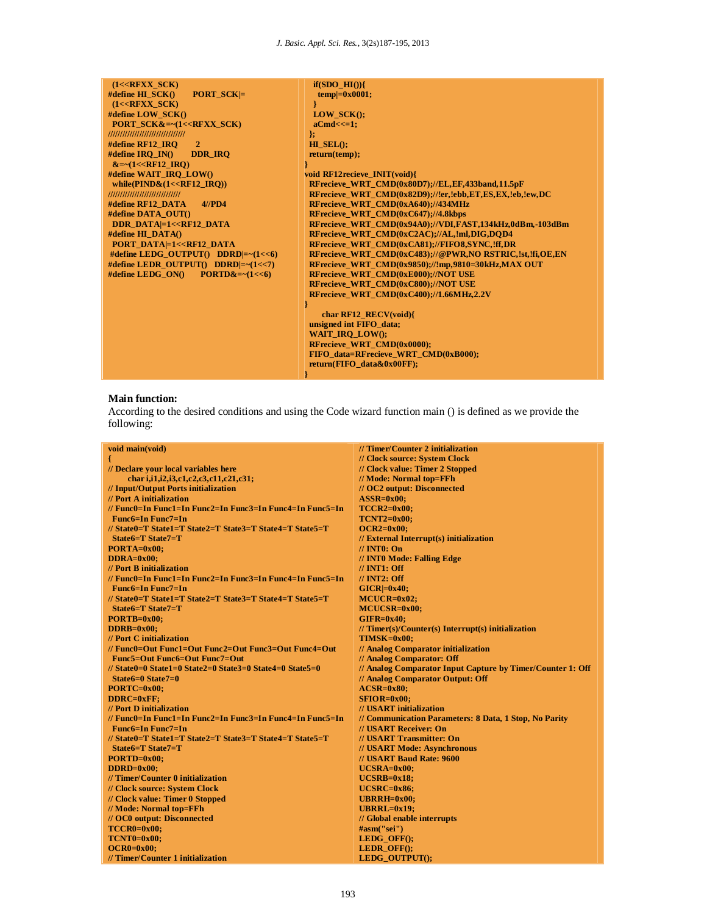| $(1<$ <b>RFXX SCK</b> $)$                                | $if(SDO$ $HI()$ }                                        |
|----------------------------------------------------------|----------------------------------------------------------|
| #define $HI$ $SCK()$<br><b>PORT SCK</b> $\equiv$         | $temp =0x0001$ ;                                         |
| $(1<$ <b>RFXX SCK</b> $)$                                |                                                          |
| #define LOW SCK()                                        | <b>LOW SCK<math>()</math>:</b>                           |
| <b>PORT SCK&amp;=~<math>(1&lt;&lt;</math>RFXX_SCK)</b>   | $a$ Cmd $<<=1$ ;                                         |
| ////////////////////////////////                         | Б.                                                       |
| #define RF12 IRO<br>$\overline{2}$                       | $H\mathbf{I}$ SEL $()$ :                                 |
| #define IRO $IN()$<br><b>DDR IRQ</b>                     | return (temp);                                           |
| $&=-(1< IRO)$                                            |                                                          |
| #define WAIT IRO LOW()                                   | void RF12recieve INIT(void){                             |
| while( $\text{PIND&}(1\text{<<}R\text{F12} \text{IRQ}))$ | RFrecieve WRT CMD(0x80D7);//EL, EF, 433band, 11.5pF      |
| //////////////////////////////                           | RFrecieve WRT CMD(0x82D9)://!er.!ebb.ET.ES.EX.!eb.!ew.DC |
| #define RF12 DATA<br>$4$ //PD4                           | RFrecieve WRT CMD(0xA640);//434MHz                       |
| #define DATA OUT()                                       | RFrecieve WRT CMD(0xC647);//4.8kbps                      |
| <b>DDR DATA=1&lt;<rf12 b="" data<=""></rf12></b>         | RFrecieve WRT CMD(0x94A0)://VDI.FAST.134kHz.0dBm.-103dBm |
| #define $HI$ DATA()                                      | RFrecieve WRT CMD(0xC2AC);//AL,!ml,DIG,DOD4              |
| <b>PORT DATA=1&lt;<rf12 b="" data<=""></rf12></b>        | RFrecieve WRT CMD(0xCA81);//FIFO8,SYNC,!ff,DR            |
| #define LEDG OUTPUT() DDRD $\vert = \sim (1 \lt 6)$      | RFrecieve WRT CMD(0xC483);//@PWR,NO RSTRIC,!st,!fi,OE,EN |
| #define LEDR_OUTPUT() DDRD =~(1<<7)                      | RFrecieve WRT CMD(0x9850);//!mp,9810=30kHz,MAX OUT       |
| #define LEDG $ON()$ $PORTD&=~(1~lt;~6)$                  | RFrecieve WRT CMD(0xE000);//NOT USE                      |
|                                                          | RFrecieve WRT CMD(0xC800)://NOT USE                      |
|                                                          | RFrecieve WRT CMD(0xC400)://1.66MHz.2.2V                 |
|                                                          |                                                          |
|                                                          | char $RF12$ $RECV(void)$                                 |
|                                                          | unsigned int FIFO data;                                  |
|                                                          | <b>WAIT IRO LOWO:</b>                                    |
|                                                          | <b>RFrecieve WRT CMD(0x0000);</b>                        |
|                                                          | FIFO data=RFrecieve WRT CMD(0xB000);                     |
|                                                          | return(FIFO data&0x00FF):                                |
|                                                          |                                                          |

# **Main function:**

According to the desired conditions and using the Code wizard function main () is defined as we provide the following:

| void main(void)                                                                      | // Timer/Counter 2 initialization                                        |
|--------------------------------------------------------------------------------------|--------------------------------------------------------------------------|
|                                                                                      | // Clock source: System Clock                                            |
| // Declare your local variables here                                                 | // Clock value: Timer 2 Stopped                                          |
| char i,i1,i2,i3,c1,c2,c3,c11,c21,c31;                                                | // Mode: Normal top=FFh                                                  |
| // Input/Output Ports initialization                                                 | // OC2 output: Disconnected                                              |
| // Port A initialization                                                             | $ASSR=0x00;$                                                             |
| // Func0=In Func1=In Func2=In Func3=In Func4=In Func5=In                             | $TCCR2=0x00;$                                                            |
| $Func6=InFunc7=In$                                                                   | $TCNT2=0x00;$                                                            |
| // State0=T State1=T State2=T State3=T State4=T State5=T                             | $OCR2=0x00;$                                                             |
| State $6=T$ State $7=T$                                                              |                                                                          |
|                                                                                      | $\frac{1}{\sqrt{2}}$ External Interrupt(s) initialization<br>// INT0: On |
| PORTA=0x00;                                                                          |                                                                          |
| $DDRA=0x00:$                                                                         | // INTO Mode: Falling Edge                                               |
| // Port B initialization<br>// Func0=In Func1=In Func2=In Func3=In Func4=In Func5=In | $\frac{\textit{}}{\textit{N}}$ INT1: Off                                 |
|                                                                                      | $\frac{\textit{1}}{\textit{1}}$ INT2: Off                                |
| <b>Func6=In Func7=In</b>                                                             | $GICR = 0x40$                                                            |
| // State0=T State1=T State2=T State3=T State4=T State5=T                             | $MCUCR = 0x02$ ;                                                         |
| $State6=T State7=T$                                                                  | MCUCSR=0x00;                                                             |
| $PORTB=0x00;$                                                                        | $GIFR=0x40$                                                              |
| $DDRB=0x00$                                                                          | $//$ Timer(s)/Counter(s) Interrupt(s) initialization                     |
| // Port C initialization                                                             | TIMSK=0x00;                                                              |
| // Func0=Out Func1=Out Func2=Out Func3=Out Func4=Out                                 | // Analog Comparator initialization                                      |
| Func5=Out Func6=Out Func7=Out                                                        | // Analog Comparator: Off                                                |
| // State0=0 State1=0 State2=0 State3=0 State4=0 State5=0                             | // Analog Comparator Input Capture by Timer/Counter 1: Off               |
| $State6=0$ State $7=0$                                                               | // Analog Comparator Output: Off                                         |
| $PORTC=0x00;$                                                                        | $ACSR=0x80;$                                                             |
| $DDRC=0xFF$                                                                          | $SFIOR=0x00$                                                             |
| // Port D initialization                                                             | // USART initialization                                                  |
| // Func0=In Func1=In Func2=In Func3=In Func4=In Func5=In                             | // Communication Parameters: 8 Data, 1 Stop, No Parity                   |
| <b>Func6=In Func7=In</b>                                                             | // USART Receiver: On                                                    |
| // State0=T State1=T State2=T State3=T State4=T State5=T                             | // USART Transmitter: On                                                 |
| State6=T State7=T                                                                    | // USART Mode: Asynchronous                                              |
| $PORTD=0x00;$                                                                        | // USART Baud Rate: 9600                                                 |
| $DDRD=0x00$ ;                                                                        | $UCSRA=0x00;$                                                            |
| // Timer/Counter 0 initialization                                                    | $UCSRB=0x18$                                                             |
| // Clock source: System Clock                                                        | $UCSRC = 0x86$                                                           |
| // Clock value: Timer 0 Stopped                                                      | $UBRRH=0x00;$                                                            |
| // Mode: Normal top=FFh                                                              | $UBRRL=0x19$ ;                                                           |
| // OC0 output: Disconnected                                                          | // Global enable interrupts                                              |
| $TCCR0=0x00;$                                                                        | #asm("sei")                                                              |
| $TCNT0=0x00;$                                                                        | LEDG_OFF();                                                              |
| $OCR0=0x00;$                                                                         | $LEDR_OFF();$                                                            |
| // Timer/Counter 1 initialization                                                    | LEDG_OUTPUT();                                                           |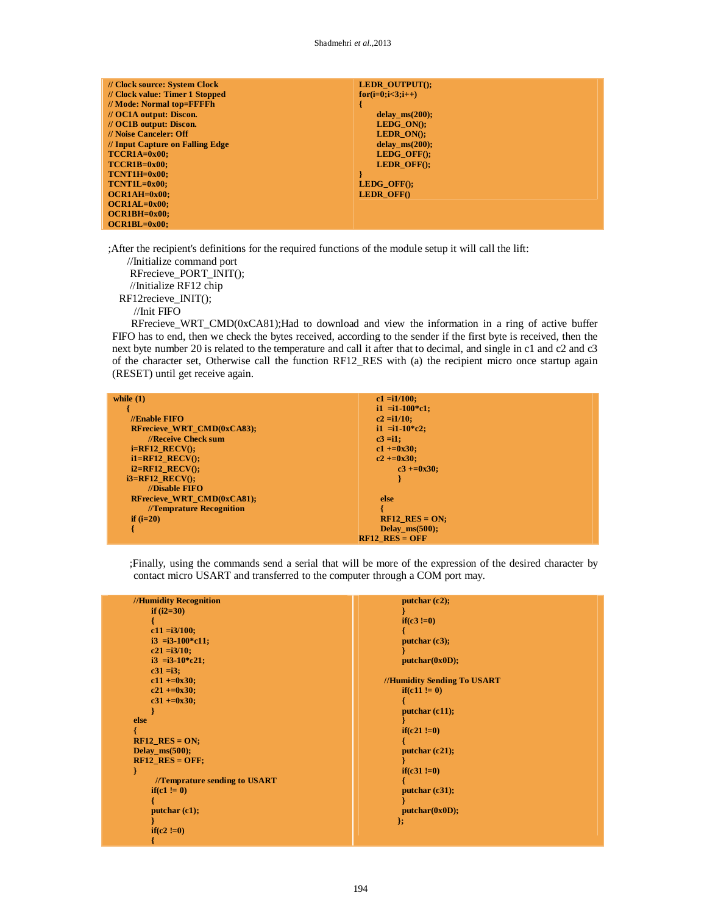| // Clock source: System Clock      | LEDR OUTPUT();                 |
|------------------------------------|--------------------------------|
| // Clock value: Timer 1 Stopped    | $for(i=0;i<3;i++)$             |
| // Mode: Normal top=FFFFh          |                                |
| $\mathcal{U}$ OC1A output: Discon. | delay $ms(200)$ ;              |
| $\mathcal{U}$ OC1B output: Discon. | LEDG $ON()$ :                  |
| // Noise Canceler: Off             | <b>LEDR ON<math>()</math>:</b> |
| // Input Capture on Falling Edge   | delay $ms(200)$ ;              |
| $TCCR1A=0x00;$                     | LEDG OFF $()$ :                |
| $TCCR1B=0x00:$                     | <b>LEDR OFFO:</b>              |
| $TCNT1H=0x00;$                     |                                |
| $TCNT1L=0x00;$                     | LEDG OFF();                    |
| $OCRAH=0x00:$                      | <b>LEDR OFF()</b>              |
| $OCR1AL=0x00;$                     |                                |
| $OCR1BH=0x00;$                     |                                |
| $OCR1BL = 0x00$ :                  |                                |

;After the recipient's definitions for the required functions of the module setup it will call the lift:

 //Initialize command port RFrecieve\_PORT\_INIT(); //Initialize RF12 chip RF12recieve\_INIT(); //Init FIFO

 RFrecieve\_WRT\_CMD(0xCA81);Had to download and view the information in a ring of active buffer FIFO has to end, then we check the bytes received, according to the sender if the first byte is received, then the next byte number 20 is related to the temperature and call it after that to decimal, and single in c1 and c2 and c3 of the character set, Otherwise call the function RF12\_RES with (a) the recipient micro once startup again (RESET) until get receive again.

| while $(1)$                       | $c1 = i1/100$ ;     |
|-----------------------------------|---------------------|
|                                   | $i1 = i1-100$ * c1; |
| $\mathcal{U}$ Enable FIFO         | $c2 = i1/10$ ;      |
| <b>RFrecieve WRT CMD(0xCA83);</b> | $i1 = i1-10$ $c2$ ; |
| //Receive Check sum               | $c3 = i1$ :         |
| $i=RF12$ RECV $()$ ;              | $c1 + 0x30$ ;       |
| $i1 = RF12$ RECV $(i)$ ;          | $c2 + 0x30$ :       |
| $i2=RF12$ RECV $(i)$ ;            | $c3 + 0x30$         |
| $i3=RF12$ RECV();                 |                     |
| $\mathbf{W}$ Disable FIFO         |                     |
| <b>RFrecieve WRT CMD(0xCA81);</b> | else                |
| //Temprature Recognition          |                     |
| if $(i=20)$                       | $RF12$ RES = ON;    |
|                                   | Delay $ms(500)$ ;   |
|                                   | $RF12$ RES = OFF    |

;Finally, using the commands send a serial that will be more of the expression of the desired character by contact micro USART and transferred to the computer through a COM port may.

| //Humidity Recognition        | putchar $(c2)$ ;            |
|-------------------------------|-----------------------------|
| if $(i2=30)$                  |                             |
|                               | if $(c3 := 0)$              |
| $c11 = i3/100;$               |                             |
| $i3 = i3-100$ *c11;           | putchar(c3);                |
| $c21 = i3/10$ ;               |                             |
| $i3 = i3-10$ * $c21$ ;        | putchar(0x0D);              |
| $c31 = i3;$                   |                             |
| $c11 + 0x30$ ;                | //Humidity Sending To USART |
| $c21 + 0x30$ ;                | if(c11 != 0)                |
| $c31 + 20x30$ ;               |                             |
|                               | putchar $(c11)$ ;           |
| else                          |                             |
|                               | if $(c21 := 0)$             |
| $RF12$ <sub>_RES</sub> = ON;  |                             |
| Delay_ms $(500);$             | putchar $(c21)$ ;           |
| $RF12$ <sub>_RES</sub> = OFF; |                             |
|                               | if $(c31 := 0)$             |
| //Temprature sending to USART |                             |
| if(c1 != 0)                   | putchar $(c31)$ ;           |
|                               |                             |
| putchar(c1);                  | putchar(0x0D);              |
|                               | };                          |
| if $(c2 := 0)$                |                             |
|                               |                             |